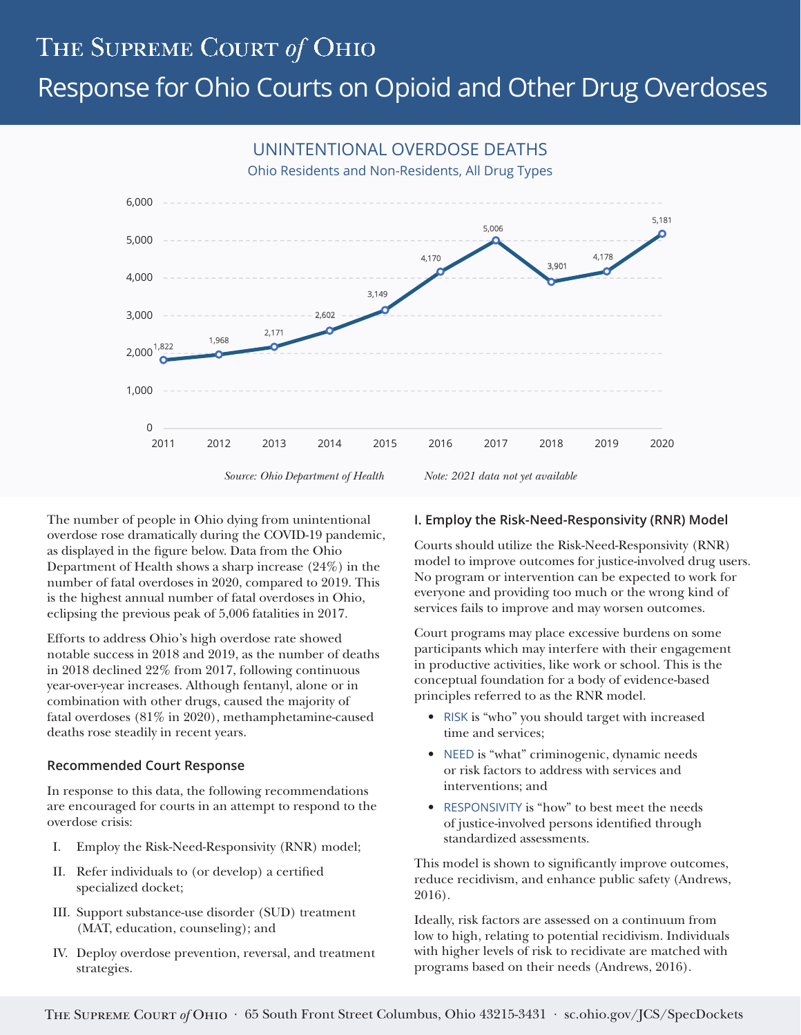## Response for Ohio Courts on Opioid and Other Drug Overdoses  $2018 \text{ F}$   $2018 \text{ F}$   $2018 \text{ F}$   $2018 \text{ F}$  $2011$   $2011$   $301$   $301$ borise for Orlio Courts on Opiold and Other D

# **Unintentional Overdose Deaths** UNINTENTIONAL OVERDOSE DEATHS Ohio residents and non-residents, all drug types Ohio Residents and Non-Residents, All Drug Types



The number of people in Ohio dying from unintentional overdose rose dramatically during the COVID-19 pandemic, as displayed in the figure below. Data from the Ohio Department of Health shows a sharp increase (24%) in the number of fatal overdoses in 2020, compared to 2019. This is the highest annual number of fatal overdoses in Ohio, eclipsing the previous peak of 5,006 fatalities in 2017.

Efforts to address Ohio's high overdose rate showed notable success in 2018 and 2019, as the number of deaths in 2018 declined 22% from 2017, following continuous year-over-year increases. Although fentanyl, alone or in combination with other drugs, caused the majority of fatal overdoses (81% in 2020), methamphetamine-caused deaths rose steadily in recent years.

#### **Recommended Court Response**

In response to this data, the following recommendations are encouraged for courts in an attempt to respond to the overdose crisis:

- I. Employ the Risk-Need-Responsivity (RNR) model;
- II. Refer individuals to (or develop) a certified specialized docket;
- III. Support substance-use disorder (SUD) treatment (MAT, education, counseling); and
- IV. Deploy overdose prevention, reversal, and treatment strategies.

### **I. Employ the Risk-Need-Responsivity (RNR) Model**

Courts should utilize the Risk-Need-Responsivity (RNR) model to improve outcomes for justice-involved drug users. No program or intervention can be expected to work for everyone and providing too much or the wrong kind of services fails to improve and may worsen outcomes.

Court programs may place excessive burdens on some participants which may interfere with their engagement in productive activities, like work or school. This is the conceptual foundation for a body of evidence-based principles referred to as the RNR model.

- RISK is "who" you should target with increased time and services;
- NEED is "what" criminogenic, dynamic needs or risk factors to address with services and interventions; and
- RESPONSIVITY is "how" to best meet the needs of justice-involved persons identified through standardized assessments.

This model is shown to significantly improve outcomes, reduce recidivism, and enhance public safety (Andrews, 2016).

Ideally, risk factors are assessed on a continuum from low to high, relating to potential recidivism. Individuals with higher levels of risk to recidivate are matched with programs based on their needs (Andrews, 2016).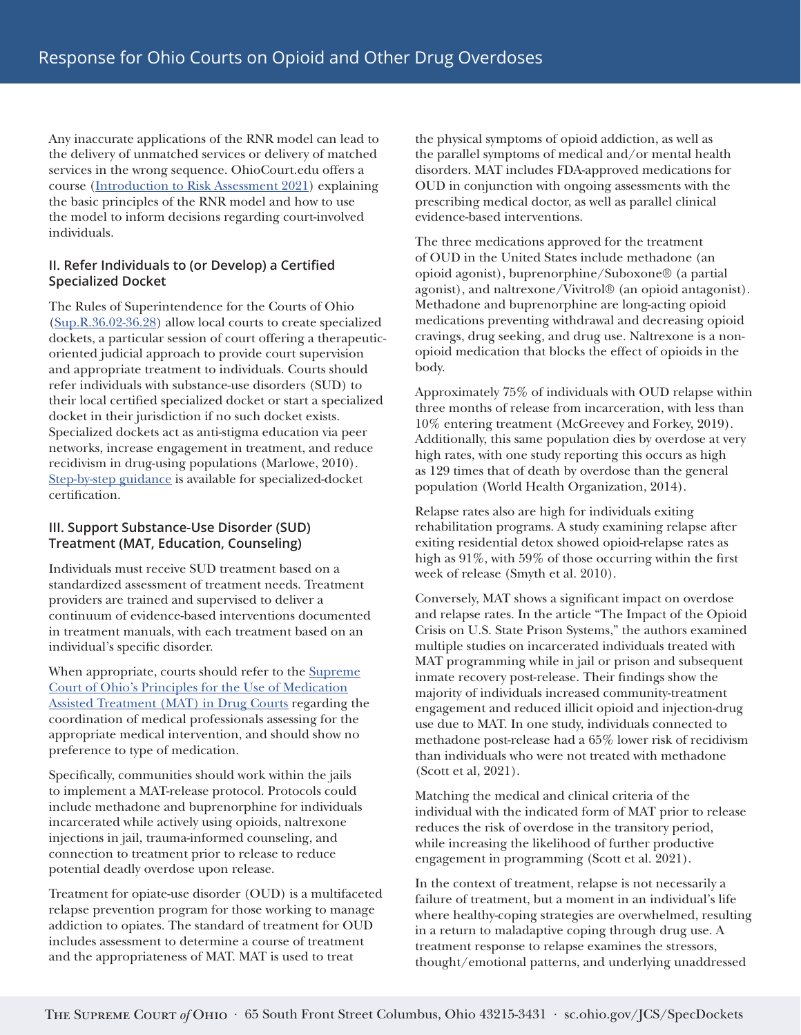Any inaccurate applications of the RNR model can lead to the delivery of unmatched services or delivery of matched services in the wrong sequence. OhioCourt.edu offers a course ([Introduction to Risk Assessment 2021](https://sco.csod.com/ui/lms-learning-details/app/course/51bc0e64-3251-4a52-a534-7ecaec76e2a7)) explaining the basic principles of the RNR model and how to use the model to inform decisions regarding court-involved individuals.

#### **II. Refer Individuals to (or Develop) a Certified Specialized Docket**

The Rules of Superintendence for the Courts of Ohio ([Sup.R.36.02-36.28](http://sc.ohio.gov/LegalResources/Rules/superintendence/Superintendence.pdf#Rule36.02)) allow local courts to create specialized dockets, a particular session of court offering a therapeuticoriented judicial approach to provide court supervision and appropriate treatment to individuals. Courts should refer individuals with substance-use disorders (SUD) to their local certified specialized docket or start a specialized docket in their jurisdiction if no such docket exists. Specialized dockets act as anti-stigma education via peer networks, increase engagement in treatment, and reduce recidivism in drug-using populations (Marlowe, 2010). [Step-by-step guidance](http://sc.ohio.gov/JCS/specDockets/) is available for specialized-docket certification.

#### **III. Support Substance-Use Disorder (SUD) Treatment (MAT, Education, Counseling)**

Individuals must receive SUD treatment based on a standardized assessment of treatment needs. Treatment providers are trained and supervised to deliver a continuum of evidence-based interventions documented in treatment manuals, with each treatment based on an individual's specific disorder.

When appropriate, courts should refer to the **Supreme** [Court of Ohio's Principles for the Use of Medication](https://www.supremecourt.ohio.gov/JCS/specDockets/resources/MATPrinciples.pdf) [Assisted Treatment \(MAT\) in Drug Courts](https://www.supremecourt.ohio.gov/JCS/specDockets/resources/MATPrinciples.pdf) regarding the coordination of medical professionals assessing for the appropriate medical intervention, and should show no preference to type of medication.

Specifically, communities should work within the jails to implement a MAT-release protocol. Protocols could include methadone and buprenorphine for individuals incarcerated while actively using opioids, naltrexone injections in jail, trauma-informed counseling, and connection to treatment prior to release to reduce potential deadly overdose upon release.

Treatment for opiate-use disorder (OUD) is a multifaceted relapse prevention program for those working to manage addiction to opiates. The standard of treatment for OUD includes assessment to determine a course of treatment and the appropriateness of MAT. MAT is used to treat

the physical symptoms of opioid addiction, as well as the parallel symptoms of medical and/or mental health disorders. MAT includes FDA-approved medications for OUD in conjunction with ongoing assessments with the prescribing medical doctor, as well as parallel clinical evidence-based interventions.

The three medications approved for the treatment of OUD in the United States include methadone (an opioid agonist), buprenorphine/Suboxone® (a partial agonist), and naltrexone/Vivitrol® (an opioid antagonist). Methadone and buprenorphine are long-acting opioid medications preventing withdrawal and decreasing opioid cravings, drug seeking, and drug use. Naltrexone is a nonopioid medication that blocks the effect of opioids in the body.

Approximately 75% of individuals with OUD relapse within three months of release from incarceration, with less than 10% entering treatment (McGreevey and Forkey, 2019). Additionally, this same population dies by overdose at very high rates, with one study reporting this occurs as high as 129 times that of death by overdose than the general population (World Health Organization, 2014).

Relapse rates also are high for individuals exiting rehabilitation programs. A study examining relapse after exiting residential detox showed opioid-relapse rates as high as 91%, with 59% of those occurring within the first week of release (Smyth et al. 2010).

Conversely, MAT shows a significant impact on overdose and relapse rates. In the article "The Impact of the Opioid Crisis on U.S. State Prison Systems," the authors examined multiple studies on incarcerated individuals treated with MAT programming while in jail or prison and subsequent inmate recovery post-release. Their findings show the majority of individuals increased community-treatment engagement and reduced illicit opioid and injection-drug use due to MAT. In one study, individuals connected to methadone post-release had a 65% lower risk of recidivism than individuals who were not treated with methadone (Scott et al, 2021).

Matching the medical and clinical criteria of the individual with the indicated form of MAT prior to release reduces the risk of overdose in the transitory period, while increasing the likelihood of further productive engagement in programming (Scott et al. 2021).

In the context of treatment, relapse is not necessarily a failure of treatment, but a moment in an individual's life where healthy-coping strategies are overwhelmed, resulting in a return to maladaptive coping through drug use. A treatment response to relapse examines the stressors, thought/emotional patterns, and underlying unaddressed